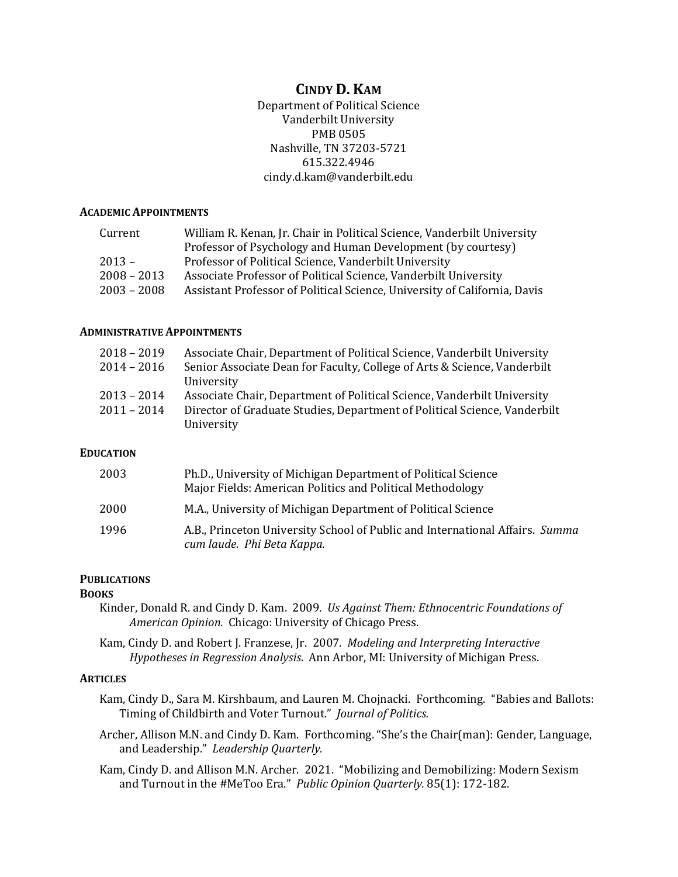# **CINDY D. KAM**

Department of Political Science Vanderbilt University PMB 0505 Nashville, TN 37203-5721 615.322.4946 cindy.d.kam@vanderbilt.edu

#### **ACADEMIC APPOINTMENTS**

| Current       | William R. Kenan, Jr. Chair in Political Science, Vanderbilt University   |
|---------------|---------------------------------------------------------------------------|
|               | Professor of Psychology and Human Development (by courtesy)               |
| $2013 -$      | Professor of Political Science, Vanderbilt University                     |
| $2008 - 2013$ | Associate Professor of Political Science, Vanderbilt University           |
| $2003 - 2008$ | Assistant Professor of Political Science, University of California, Davis |

#### **ADMINISTRATIVE APPOINTMENTS**

| $2018 - 2019$ | Associate Chair, Department of Political Science, Vanderbilt University   |
|---------------|---------------------------------------------------------------------------|
| $2014 - 2016$ | Senior Associate Dean for Faculty, College of Arts & Science, Vanderbilt  |
|               | University                                                                |
| $2013 - 2014$ | Associate Chair, Department of Political Science, Vanderbilt University   |
| $2011 - 2014$ | Director of Graduate Studies, Department of Political Science, Vanderbilt |
|               | University                                                                |

#### **EDUCATION**

| 2003 | Ph.D., University of Michigan Department of Political Science<br>Major Fields: American Politics and Political Methodology |
|------|----------------------------------------------------------------------------------------------------------------------------|
| 2000 | M.A., University of Michigan Department of Political Science                                                               |
| 1996 | A.B., Princeton University School of Public and International Affairs. Summa<br>cum laude. Phi Beta Kappa.                 |

#### **PUBLICATIONS**

#### **BOOKS**

- Kinder, Donald R. and Cindy D. Kam. 2009. *Us Against Them: Ethnocentric Foundations of American Opinion.* Chicago: University of Chicago Press.
- Kam, Cindy D. and Robert J. Franzese, Jr. 2007*. Modeling and Interpreting Interactive Hypotheses in Regression Analysis*. Ann Arbor, MI: University of Michigan Press.

#### **ARTICLES**

- Kam, Cindy D., Sara M. Kirshbaum, and Lauren M. Chojnacki. Forthcoming. "Babies and Ballots: Timing of Childbirth and Voter Turnout." *Journal of Politics.*
- Archer, Allison M.N. and Cindy D. Kam. Forthcoming. "She's the Chair(man): Gender, Language, and Leadership." *Leadership Quarterly.*

Kam, Cindy D. and Allison M.N. Archer. 2021. "Mobilizing and Demobilizing: Modern Sexism and Turnout in the #MeToo Era." *Public Opinion Quarterly.* 85(1): 172-182.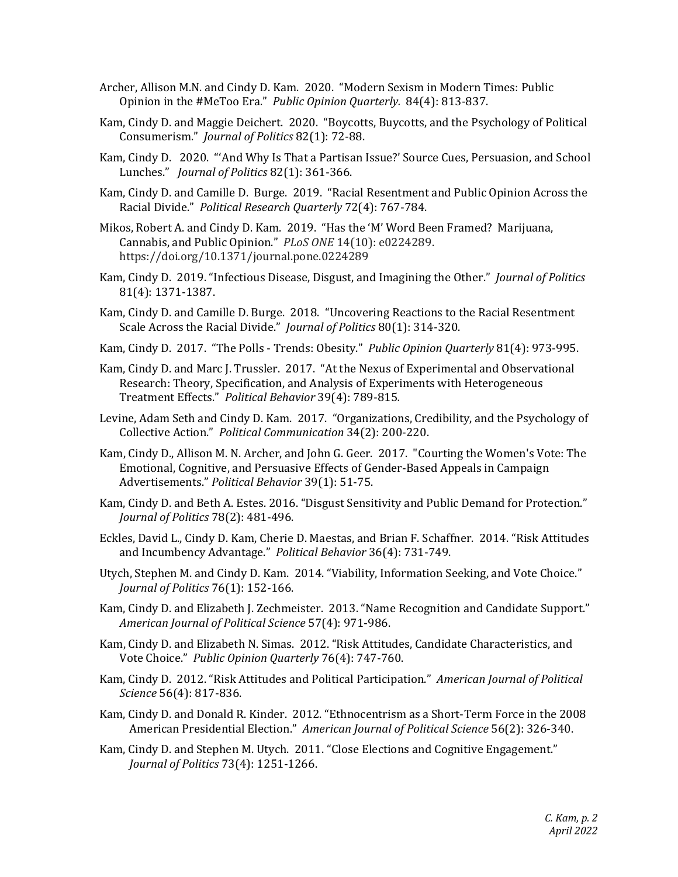- Archer, Allison M.N. and Cindy D. Kam. 2020. "Modern Sexism in Modern Times: Public Opinion in the #MeToo Era." *Public Opinion Quarterly.* 84(4): 813-837.
- Kam, Cindy D. and Maggie Deichert. 2020. "Boycotts, Buycotts, and the Psychology of Political Consumerism." *Journal of Politics* 82(1): 72-88.
- Kam, Cindy D. 2020. "'And Why Is That a Partisan Issue?' Source Cues, Persuasion, and School Lunches." *Journal of Politics* 82(1): 361-366.
- Kam, Cindy D. and Camille D. Burge. 2019. "Racial Resentment and Public Opinion Across the Racial Divide." *Political Research Quarterly* 72(4): 767-784.
- Mikos, Robert A. and Cindy D. Kam. 2019. "Has the 'M' Word Been Framed? Marijuana, Cannabis, and Public Opinion." *PLoS ONE* 14(10): e0224289. https://doi.org/10.1371/journal.pone.0224289
- Kam, Cindy D. 2019. "Infectious Disease, Disgust, and Imagining the Other." *Journal of Politics* 81(4): 1371-1387.
- Kam, Cindy D. and Camille D. Burge. 2018. "Uncovering Reactions to the Racial Resentment Scale Across the Racial Divide." *Journal of Politics* 80(1): 314-320.
- Kam, Cindy D. 2017. "The Polls Trends: Obesity." *Public Opinion Quarterly* 81(4): 973-995.
- Kam, Cindy D. and Marc J. Trussler. 2017. "At the Nexus of Experimental and Observational Research: Theory, Specification, and Analysis of Experiments with Heterogeneous Treatment Effects." *Political Behavior* 39(4): 789-815*.*
- Levine, Adam Seth and Cindy D. Kam. 2017. "Organizations, Credibility, and the Psychology of Collective Action." *Political Communication* 34(2): 200-220.
- Kam, Cindy D., Allison M. N. Archer, and John G. Geer. 2017. "Courting the Women's Vote: The Emotional, Cognitive, and Persuasive Effects of Gender-Based Appeals in Campaign Advertisements." *Political Behavior* 39(1): 51-75.
- Kam, Cindy D. and Beth A. Estes. 2016. "Disgust Sensitivity and Public Demand for Protection." *Journal of Politics* 78(2): 481-496.
- Eckles, David L., Cindy D. Kam, Cherie D. Maestas, and Brian F. Schaffner. 2014. "Risk Attitudes and Incumbency Advantage." *Political Behavior* 36(4): 731-749.
- Utych, Stephen M. and Cindy D. Kam. 2014. "Viability, Information Seeking, and Vote Choice." *Journal of Politics* 76(1): 152-166.
- Kam, Cindy D. and Elizabeth J. Zechmeister. 2013. "Name Recognition and Candidate Support." *American Journal of Political Science* 57(4): 971-986.
- Kam, Cindy D. and Elizabeth N. Simas. 2012. "Risk Attitudes, Candidate Characteristics, and Vote Choice." *Public Opinion Quarterly* 76(4): 747-760.
- Kam, Cindy D. 2012. "Risk Attitudes and Political Participation." *American Journal of Political Science* 56(4): 817-836.
- Kam, Cindy D. and Donald R. Kinder. 2012. "Ethnocentrism as a Short-Term Force in the 2008 American Presidential Election." *American Journal of Political Science* 56(2): 326-340.
- Kam, Cindy D. and Stephen M. Utych. 2011. "Close Elections and Cognitive Engagement." *Journal of Politics* 73(4): 1251-1266.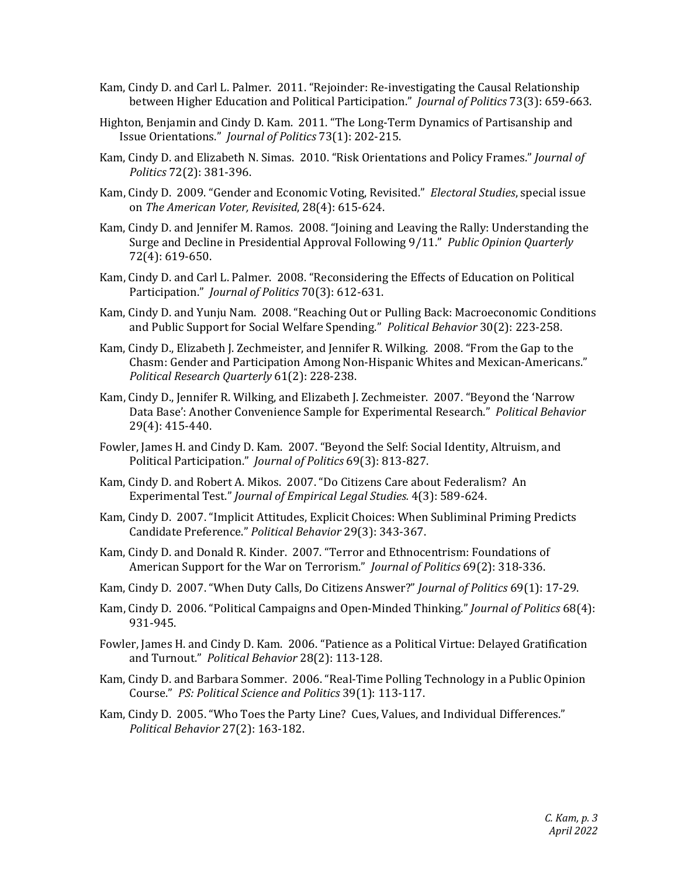- Kam, Cindy D. and Carl L. Palmer. 2011. "Rejoinder: Re-investigating the Causal Relationship between Higher Education and Political Participation." *Journal of Politics* 73(3): 659-663.
- Highton, Benjamin and Cindy D. Kam. 2011. "The Long-Term Dynamics of Partisanship and Issue Orientations." *Journal of Politics* 73(1): 202-215.
- Kam, Cindy D. and Elizabeth N. Simas. 2010. "Risk Orientations and Policy Frames." *Journal of Politics* 72(2): 381-396.
- Kam, Cindy D. 2009. "Gender and Economic Voting, Revisited." *Electoral Studies*, special issue on *The American Voter, Revisited*, 28(4): 615-624.
- Kam, Cindy D. and Jennifer M. Ramos. 2008. "Joining and Leaving the Rally: Understanding the Surge and Decline in Presidential Approval Following 9/11." *Public Opinion Quarterly* 72(4): 619-650.
- Kam, Cindy D. and Carl L. Palmer. 2008. "Reconsidering the Effects of Education on Political Participation." *Journal of Politics* 70(3): 612-631.
- Kam, Cindy D. and Yunju Nam. 2008. "Reaching Out or Pulling Back: Macroeconomic Conditions and Public Support for Social Welfare Spending." *Political Behavior* 30(2): 223-258.
- Kam, Cindy D., Elizabeth J. Zechmeister, and Jennifer R. Wilking. 2008. "From the Gap to the Chasm: Gender and Participation Among Non-Hispanic Whites and Mexican-Americans." *Political Research Quarterly* 61(2): 228-238.
- Kam, Cindy D., Jennifer R. Wilking, and Elizabeth J. Zechmeister. 2007. "Beyond the 'Narrow Data Base': Another Convenience Sample for Experimental Research." *Political Behavior* 29(4): 415-440.
- Fowler, James H. and Cindy D. Kam. 2007. "Beyond the Self: Social Identity, Altruism, and Political Participation." *Journal of Politics* 69(3): 813-827.
- Kam, Cindy D. and Robert A. Mikos. 2007. "Do Citizens Care about Federalism? An Experimental Test." *Journal of Empirical Legal Studies.* 4(3): 589-624.
- Kam, Cindy D. 2007. "Implicit Attitudes, Explicit Choices: When Subliminal Priming Predicts Candidate Preference." *Political Behavior* 29(3): 343-367.
- Kam, Cindy D. and Donald R. Kinder. 2007. "Terror and Ethnocentrism: Foundations of American Support for the War on Terrorism." *Journal of Politics* 69(2): 318-336.
- Kam, Cindy D. 2007. "When Duty Calls, Do Citizens Answer?" *Journal of Politics* 69(1): 17-29.
- Kam, Cindy D. 2006. "Political Campaigns and Open-Minded Thinking." *Journal of Politics* 68(4): 931-945.
- Fowler, James H. and Cindy D. Kam. 2006. "Patience as a Political Virtue: Delayed Gratification and Turnout." *Political Behavior* 28(2): 113-128.
- Kam, Cindy D. and Barbara Sommer. 2006. "Real-Time Polling Technology in a Public Opinion Course." *PS: Political Science and Politics* 39(1): 113-117.
- Kam, Cindy D. 2005. "Who Toes the Party Line? Cues, Values, and Individual Differences." *Political Behavior* 27(2): 163-182.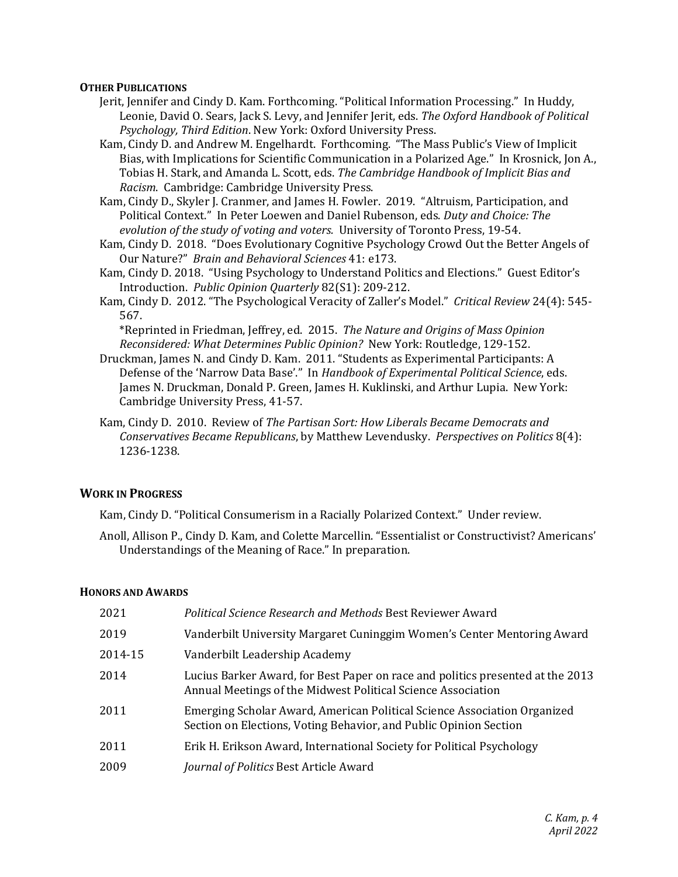## **OTHER PUBLICATIONS**

- Jerit, Jennifer and Cindy D. Kam. Forthcoming. "Political Information Processing." In Huddy, Leonie, David O. Sears, Jack S. Levy, and Jennifer Jerit, eds. *The Oxford Handbook of Political Psychology, Third Edition*. New York: Oxford University Press.
- Kam, Cindy D. and Andrew M. Engelhardt. Forthcoming. "The Mass Public's View of Implicit Bias, with Implications for Scientific Communication in a Polarized Age." In Krosnick, Jon A., Tobias H. Stark, and Amanda L. Scott, eds. *The Cambridge Handbook of Implicit Bias and Racism*. Cambridge: Cambridge University Press.

Kam, Cindy D., Skyler J. Cranmer, and James H. Fowler. 2019. "Altruism, Participation, and Political Context." In Peter Loewen and Daniel Rubenson, eds. *Duty and Choice: The evolution of the study of voting and voters.* University of Toronto Press, 19-54.

- Kam, Cindy D. 2018. "Does Evolutionary Cognitive Psychology Crowd Out the Better Angels of Our Nature?" *Brain and Behavioral Sciences* 41: e173.
- Kam, Cindy D. 2018. "Using Psychology to Understand Politics and Elections." Guest Editor's Introduction. *Public Opinion Quarterly* 82(S1): 209-212.
- Kam, Cindy D. 2012. "The Psychological Veracity of Zaller's Model." *Critical Review* 24(4): 545- 567.

 \*Reprinted in Friedman, Jeffrey, ed. 2015. *The Nature and Origins of Mass Opinion Reconsidered: What Determines Public Opinion?* New York: Routledge, 129-152.

- Druckman, James N. and Cindy D. Kam. 2011. "Students as Experimental Participants: A Defense of the 'Narrow Data Base'." In *Handbook of Experimental Political Science*, eds. James N. Druckman, Donald P. Green, James H. Kuklinski, and Arthur Lupia. New York: Cambridge University Press, 41-57.
- Kam, Cindy D. 2010. Review of *The Partisan Sort: How Liberals Became Democrats and Conservatives Became Republicans*, by Matthew Levendusky. *Perspectives on Politics* 8(4): 1236-1238.

## **WORK IN PROGRESS**

Kam, Cindy D. "Political Consumerism in a Racially Polarized Context." Under review.

Anoll, Allison P., Cindy D. Kam, and Colette Marcellin. "Essentialist or Constructivist? Americans' Understandings of the Meaning of Race." In preparation.

#### **HONORS AND AWARDS**

| 2021    | <b>Political Science Research and Methods Best Reviewer Award</b>                                                                              |
|---------|------------------------------------------------------------------------------------------------------------------------------------------------|
| 2019    | Vanderbilt University Margaret Cuninggim Women's Center Mentoring Award                                                                        |
| 2014-15 | Vanderbilt Leadership Academy                                                                                                                  |
| 2014    | Lucius Barker Award, for Best Paper on race and politics presented at the 2013<br>Annual Meetings of the Midwest Political Science Association |
| 2011    | Emerging Scholar Award, American Political Science Association Organized<br>Section on Elections, Voting Behavior, and Public Opinion Section  |
| 2011    | Erik H. Erikson Award, International Society for Political Psychology                                                                          |
| 2009    | Journal of Politics Best Article Award                                                                                                         |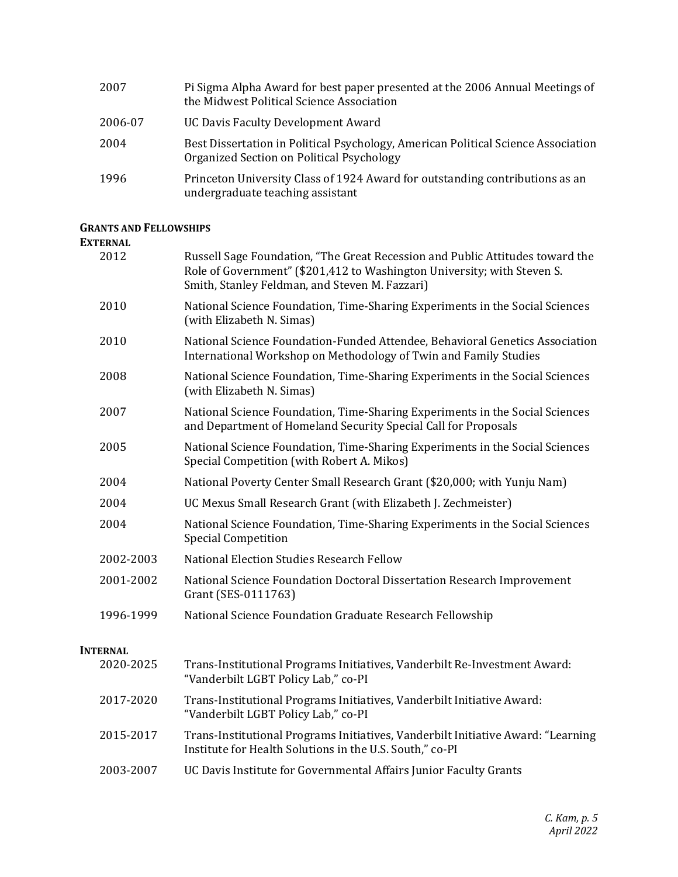| 2007    | Pi Sigma Alpha Award for best paper presented at the 2006 Annual Meetings of<br>the Midwest Political Science Association      |
|---------|--------------------------------------------------------------------------------------------------------------------------------|
| 2006-07 | UC Davis Faculty Development Award                                                                                             |
| 2004    | Best Dissertation in Political Psychology, American Political Science Association<br>Organized Section on Political Psychology |
| 1996    | Princeton University Class of 1924 Award for outstanding contributions as an<br>undergraduate teaching assistant               |

## **GRANTS AND FELLOWSHIPS**

## **EXTERNAL**

| 2012            | Russell Sage Foundation, "The Great Recession and Public Attitudes toward the<br>Role of Government" (\$201,412 to Washington University; with Steven S.<br>Smith, Stanley Feldman, and Steven M. Fazzari) |
|-----------------|------------------------------------------------------------------------------------------------------------------------------------------------------------------------------------------------------------|
| 2010            | National Science Foundation, Time-Sharing Experiments in the Social Sciences<br>(with Elizabeth N. Simas)                                                                                                  |
| 2010            | National Science Foundation-Funded Attendee, Behavioral Genetics Association<br>International Workshop on Methodology of Twin and Family Studies                                                           |
| 2008            | National Science Foundation, Time-Sharing Experiments in the Social Sciences<br>(with Elizabeth N. Simas)                                                                                                  |
| 2007            | National Science Foundation, Time-Sharing Experiments in the Social Sciences<br>and Department of Homeland Security Special Call for Proposals                                                             |
| 2005            | National Science Foundation, Time-Sharing Experiments in the Social Sciences<br>Special Competition (with Robert A. Mikos)                                                                                 |
| 2004            | National Poverty Center Small Research Grant (\$20,000; with Yunju Nam)                                                                                                                                    |
| 2004            | UC Mexus Small Research Grant (with Elizabeth J. Zechmeister)                                                                                                                                              |
| 2004            | National Science Foundation, Time-Sharing Experiments in the Social Sciences<br><b>Special Competition</b>                                                                                                 |
| 2002-2003       | <b>National Election Studies Research Fellow</b>                                                                                                                                                           |
| 2001-2002       | National Science Foundation Doctoral Dissertation Research Improvement<br>Grant (SES-0111763)                                                                                                              |
| 1996-1999       | National Science Foundation Graduate Research Fellowship                                                                                                                                                   |
| <b>INTERNAL</b> |                                                                                                                                                                                                            |
| 2020-2025       | Trans-Institutional Programs Initiatives, Vanderbilt Re-Investment Award:<br>"Vanderbilt LGBT Policy Lab," co-PI                                                                                           |
| 2017-2020       | Trans-Institutional Programs Initiatives, Vanderbilt Initiative Award:<br>"Vanderbilt LGBT Policy Lab," co-PI                                                                                              |
| 2015-2017       | Trans-Institutional Programs Initiatives, Vanderbilt Initiative Award: "Learning<br>Institute for Health Solutions in the U.S. South," co-PI                                                               |
| 2003-2007       | UC Davis Institute for Governmental Affairs Junior Faculty Grants                                                                                                                                          |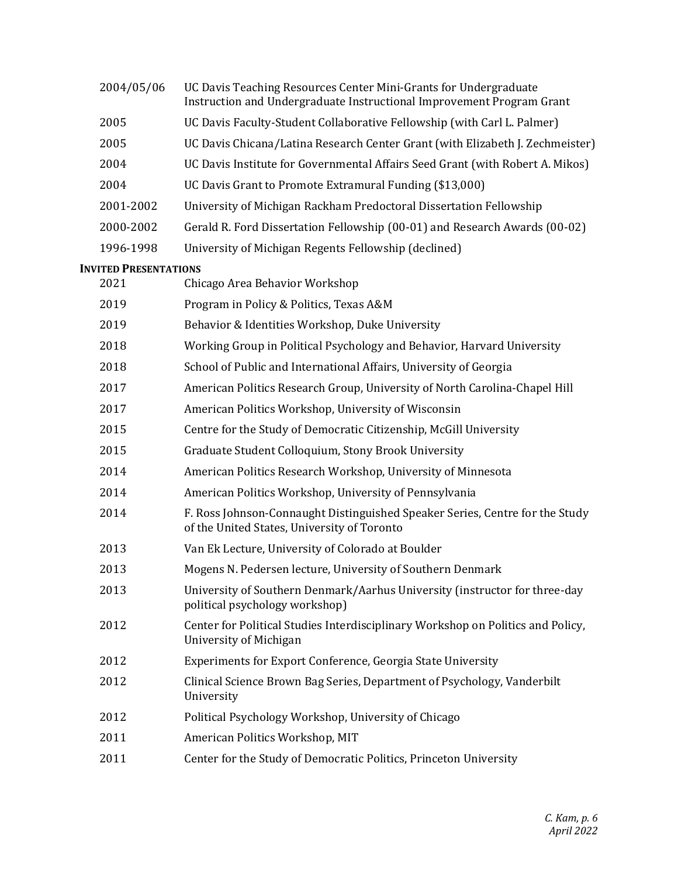| 2004/05/06                   | UC Davis Teaching Resources Center Mini-Grants for Undergraduate<br>Instruction and Undergraduate Instructional Improvement Program Grant |
|------------------------------|-------------------------------------------------------------------------------------------------------------------------------------------|
| 2005                         | UC Davis Faculty-Student Collaborative Fellowship (with Carl L. Palmer)                                                                   |
| 2005                         | UC Davis Chicana/Latina Research Center Grant (with Elizabeth J. Zechmeister)                                                             |
| 2004                         | UC Davis Institute for Governmental Affairs Seed Grant (with Robert A. Mikos)                                                             |
| 2004                         | UC Davis Grant to Promote Extramural Funding (\$13,000)                                                                                   |
| 2001-2002                    | University of Michigan Rackham Predoctoral Dissertation Fellowship                                                                        |
| 2000-2002                    | Gerald R. Ford Dissertation Fellowship (00-01) and Research Awards (00-02)                                                                |
| 1996-1998                    | University of Michigan Regents Fellowship (declined)                                                                                      |
| <b>INVITED PRESENTATIONS</b> |                                                                                                                                           |
| 2021                         | Chicago Area Behavior Workshop                                                                                                            |
| 2019                         | Program in Policy & Politics, Texas A&M                                                                                                   |
| 2019                         | Behavior & Identities Workshop, Duke University                                                                                           |
| 2018                         | Working Group in Political Psychology and Behavior, Harvard University                                                                    |
| 2018                         | School of Public and International Affairs, University of Georgia                                                                         |
| 2017                         | American Politics Research Group, University of North Carolina-Chapel Hill                                                                |
| 2017                         | American Politics Workshop, University of Wisconsin                                                                                       |
| 2015                         | Centre for the Study of Democratic Citizenship, McGill University                                                                         |
| 2015                         | Graduate Student Colloquium, Stony Brook University                                                                                       |
| 2014                         | American Politics Research Workshop, University of Minnesota                                                                              |
| 2014                         | American Politics Workshop, University of Pennsylvania                                                                                    |
| 2014                         | F. Ross Johnson-Connaught Distinguished Speaker Series, Centre for the Study<br>of the United States, University of Toronto               |
| 2013                         | Van Ek Lecture, University of Colorado at Boulder                                                                                         |
| 2013                         | Mogens N. Pedersen lecture, University of Southern Denmark                                                                                |
| 2013                         | University of Southern Denmark/Aarhus University (instructor for three-day<br>political psychology workshop)                              |
| 2012                         | Center for Political Studies Interdisciplinary Workshop on Politics and Policy,<br>University of Michigan                                 |
| 2012                         | Experiments for Export Conference, Georgia State University                                                                               |
| 2012                         | Clinical Science Brown Bag Series, Department of Psychology, Vanderbilt<br>University                                                     |
| 2012                         | Political Psychology Workshop, University of Chicago                                                                                      |
| 2011                         | American Politics Workshop, MIT                                                                                                           |
| 2011                         | Center for the Study of Democratic Politics, Princeton University                                                                         |
|                              |                                                                                                                                           |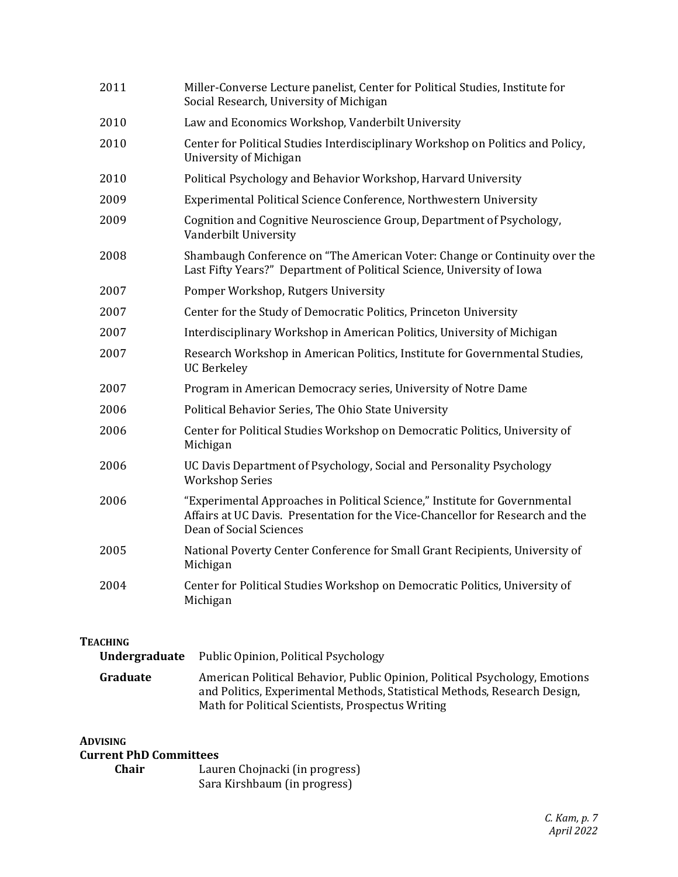| 2011 | Miller-Converse Lecture panelist, Center for Political Studies, Institute for<br>Social Research, University of Michigan                                                                |
|------|-----------------------------------------------------------------------------------------------------------------------------------------------------------------------------------------|
| 2010 | Law and Economics Workshop, Vanderbilt University                                                                                                                                       |
| 2010 | Center for Political Studies Interdisciplinary Workshop on Politics and Policy,<br>University of Michigan                                                                               |
| 2010 | Political Psychology and Behavior Workshop, Harvard University                                                                                                                          |
| 2009 | Experimental Political Science Conference, Northwestern University                                                                                                                      |
| 2009 | Cognition and Cognitive Neuroscience Group, Department of Psychology,<br>Vanderbilt University                                                                                          |
| 2008 | Shambaugh Conference on "The American Voter: Change or Continuity over the<br>Last Fifty Years?" Department of Political Science, University of Iowa                                    |
| 2007 | Pomper Workshop, Rutgers University                                                                                                                                                     |
| 2007 | Center for the Study of Democratic Politics, Princeton University                                                                                                                       |
| 2007 | Interdisciplinary Workshop in American Politics, University of Michigan                                                                                                                 |
| 2007 | Research Workshop in American Politics, Institute for Governmental Studies,<br><b>UC Berkeley</b>                                                                                       |
| 2007 | Program in American Democracy series, University of Notre Dame                                                                                                                          |
| 2006 | Political Behavior Series, The Ohio State University                                                                                                                                    |
| 2006 | Center for Political Studies Workshop on Democratic Politics, University of<br>Michigan                                                                                                 |
| 2006 | UC Davis Department of Psychology, Social and Personality Psychology<br><b>Workshop Series</b>                                                                                          |
| 2006 | "Experimental Approaches in Political Science," Institute for Governmental<br>Affairs at UC Davis. Presentation for the Vice-Chancellor for Research and the<br>Dean of Social Sciences |
| 2005 | National Poverty Center Conference for Small Grant Recipients, University of<br>Michigan                                                                                                |
| 2004 | Center for Political Studies Workshop on Democratic Politics, University of<br>Michigan                                                                                                 |

## **TEACHING**

| Undergraduate | Public Opinion, Political Psychology                                                                                                                                                                          |
|---------------|---------------------------------------------------------------------------------------------------------------------------------------------------------------------------------------------------------------|
| Graduate      | American Political Behavior, Public Opinion, Political Psychology, Emotions<br>and Politics, Experimental Methods, Statistical Methods, Research Design,<br>Math for Political Scientists, Prospectus Writing |

## **ADVISING Current PhD Committees**

| Chair | Lauren Chojnacki (in progress) |
|-------|--------------------------------|
|       | Sara Kirshbaum (in progress)   |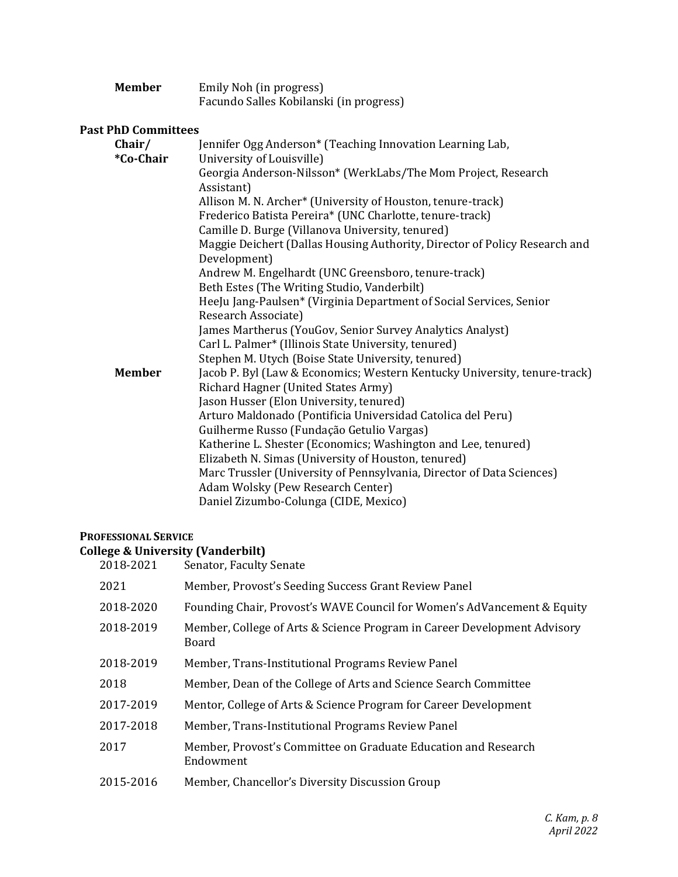| <b>Member</b> | Emily Noh (in progress)                 |
|---------------|-----------------------------------------|
|               | Facundo Salles Kobilanski (in progress) |

## **Past PhD Committees**

| Chair/<br>*Co-Chair | Jennifer Ogg Anderson* (Teaching Innovation Learning Lab,<br>University of Louisville)     |
|---------------------|--------------------------------------------------------------------------------------------|
|                     | Georgia Anderson-Nilsson* (WerkLabs/The Mom Project, Research<br>Assistant)                |
|                     | Allison M. N. Archer* (University of Houston, tenure-track)                                |
|                     | Frederico Batista Pereira* (UNC Charlotte, tenure-track)                                   |
|                     | Camille D. Burge (Villanova University, tenured)                                           |
|                     | Maggie Deichert (Dallas Housing Authority, Director of Policy Research and<br>Development) |
|                     | Andrew M. Engelhardt (UNC Greensboro, tenure-track)                                        |
|                     | Beth Estes (The Writing Studio, Vanderbilt)                                                |
|                     | HeeJu Jang-Paulsen* (Virginia Department of Social Services, Senior                        |
|                     | Research Associate)                                                                        |
|                     | James Martherus (YouGov, Senior Survey Analytics Analyst)                                  |
|                     | Carl L. Palmer* (Illinois State University, tenured)                                       |
|                     | Stephen M. Utych (Boise State University, tenured)                                         |
| <b>Member</b>       | Jacob P. Byl (Law & Economics; Western Kentucky University, tenure-track)                  |
|                     | Richard Hagner (United States Army)                                                        |
|                     | Jason Husser (Elon University, tenured)                                                    |
|                     | Arturo Maldonado (Pontificia Universidad Catolica del Peru)                                |
|                     | Guilherme Russo (Fundação Getulio Vargas)                                                  |
|                     | Katherine L. Shester (Economics; Washington and Lee, tenured)                              |
|                     | Elizabeth N. Simas (University of Houston, tenured)                                        |
|                     | Marc Trussler (University of Pennsylvania, Director of Data Sciences)                      |
|                     | Adam Wolsky (Pew Research Center)                                                          |
|                     | Daniel Zizumbo-Colunga (CIDE, Mexico)                                                      |

## **PROFESSIONAL SERVICE**

| <b>College &amp; University (Vanderbilt)</b> |  |  |  |  |
|----------------------------------------------|--|--|--|--|
|----------------------------------------------|--|--|--|--|

| 2018-2021 | Senator, Faculty Senate                                                           |
|-----------|-----------------------------------------------------------------------------------|
| 2021      | Member, Provost's Seeding Success Grant Review Panel                              |
| 2018-2020 | Founding Chair, Provost's WAVE Council for Women's AdVancement & Equity           |
| 2018-2019 | Member, College of Arts & Science Program in Career Development Advisory<br>Board |
| 2018-2019 | Member, Trans-Institutional Programs Review Panel                                 |
| 2018      | Member, Dean of the College of Arts and Science Search Committee                  |
| 2017-2019 | Mentor, College of Arts & Science Program for Career Development                  |
| 2017-2018 | Member, Trans-Institutional Programs Review Panel                                 |
| 2017      | Member, Provost's Committee on Graduate Education and Research<br>Endowment       |
| 2015-2016 | Member, Chancellor's Diversity Discussion Group                                   |
|           |                                                                                   |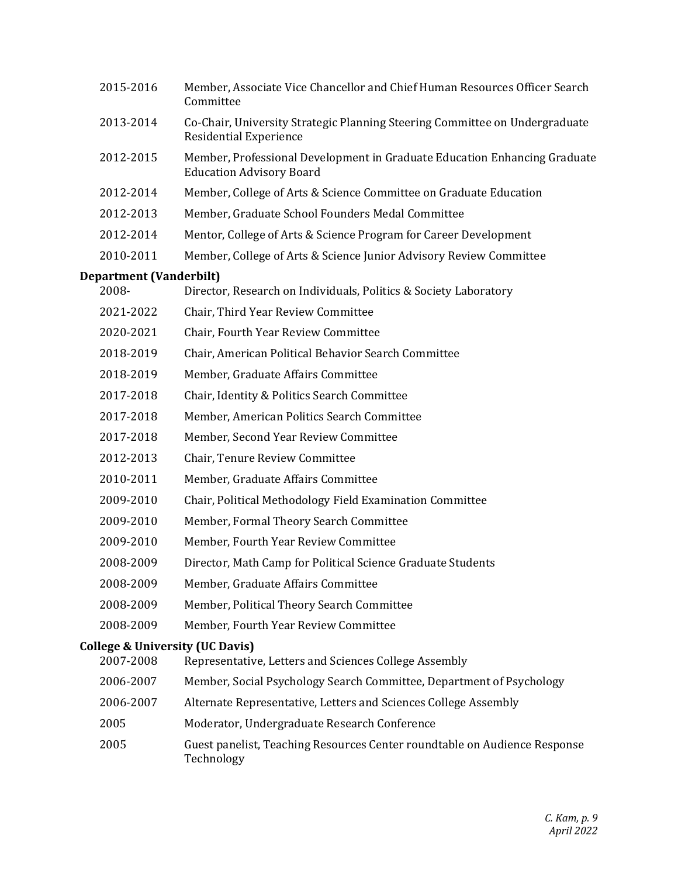|       | 2015-2016                      | Member, Associate Vice Chancellor and Chief Human Resources Officer Search<br>Committee                      |
|-------|--------------------------------|--------------------------------------------------------------------------------------------------------------|
|       | 2013-2014                      | Co-Chair, University Strategic Planning Steering Committee on Undergraduate<br>Residential Experience        |
|       | 2012-2015                      | Member, Professional Development in Graduate Education Enhancing Graduate<br><b>Education Advisory Board</b> |
|       | 2012-2014                      | Member, College of Arts & Science Committee on Graduate Education                                            |
|       | 2012-2013                      | Member, Graduate School Founders Medal Committee                                                             |
|       | 2012-2014                      | Mentor, College of Arts & Science Program for Career Development                                             |
|       | 2010-2011                      | Member, College of Arts & Science Junior Advisory Review Committee                                           |
|       | <b>Department (Vanderbilt)</b> |                                                                                                              |
| 2008- |                                | Director, Research on Individuals, Politics & Society Laboratory                                             |
|       | 2021-2022                      | Chair, Third Year Review Committee                                                                           |
|       | 2020-2021                      | Chair, Fourth Year Review Committee                                                                          |
|       | 2018-2019                      | Chair, American Political Behavior Search Committee                                                          |
|       | 2018-2019                      | Member, Graduate Affairs Committee                                                                           |
|       | 2017-2018                      | Chair, Identity & Politics Search Committee                                                                  |
|       | 2017-2018                      | Member, American Politics Search Committee                                                                   |
|       | 2017-2018                      | Member, Second Year Review Committee                                                                         |
|       | 2012-2013                      | Chair, Tenure Review Committee                                                                               |
|       | 2010-2011                      | Member, Graduate Affairs Committee                                                                           |
|       | 2009-2010                      | Chair, Political Methodology Field Examination Committee                                                     |
|       | 2009-2010                      | Member, Formal Theory Search Committee                                                                       |
|       | 2009-2010                      | Member, Fourth Year Review Committee                                                                         |
|       | 2008-2009                      | Director, Math Camp for Political Science Graduate Students                                                  |
|       | 2008-2009                      | Member, Graduate Affairs Committee                                                                           |
|       | 2008-2009                      | Member, Political Theory Search Committee                                                                    |
|       | 2008-2009                      | Member, Fourth Year Review Committee                                                                         |
|       |                                | <b>College &amp; University (UC Davis)</b>                                                                   |
|       | 2007-2008                      | Representative, Letters and Sciences College Assembly                                                        |
|       | 2006-2007                      | Member, Social Psychology Search Committee, Department of Psychology                                         |
|       | 2006-2007                      | Alternate Representative, Letters and Sciences College Assembly                                              |
| 2005  |                                | Moderator, Undergraduate Research Conference                                                                 |
| 2005  |                                | Guest panelist, Teaching Resources Center roundtable on Audience Response<br>Technology                      |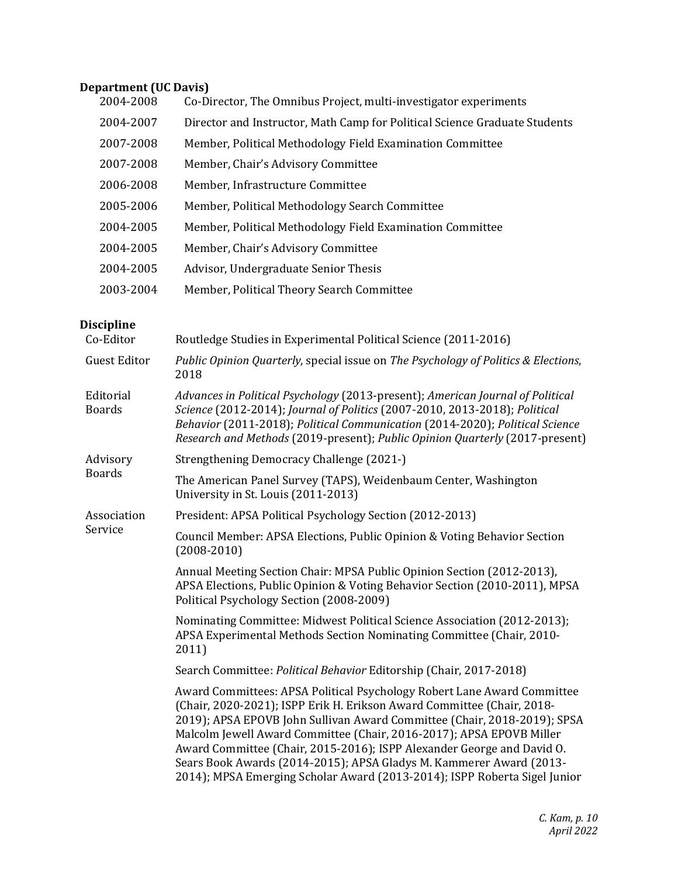# **Department (UC Davis)**

| 2004-2008 | Co-Director, The Omnibus Project, multi-investigator experiments           |
|-----------|----------------------------------------------------------------------------|
| 2004-2007 | Director and Instructor, Math Camp for Political Science Graduate Students |
| 2007-2008 | Member, Political Methodology Field Examination Committee                  |
| 2007-2008 | Member, Chair's Advisory Committee                                         |
| 2006-2008 | Member, Infrastructure Committee                                           |
| 2005-2006 | Member, Political Methodology Search Committee                             |
| 2004-2005 | Member, Political Methodology Field Examination Committee                  |
| 2004-2005 | Member, Chair's Advisory Committee                                         |
| 2004-2005 | Advisor, Undergraduate Senior Thesis                                       |
| 2003-2004 | Member, Political Theory Search Committee                                  |

# **Discipline**<br>Co-Editor

| Co-Editor                  | Routledge Studies in Experimental Political Science (2011-2016)                                                                                                                                                                                                                                                                                                                                                                                                                                                                     |
|----------------------------|-------------------------------------------------------------------------------------------------------------------------------------------------------------------------------------------------------------------------------------------------------------------------------------------------------------------------------------------------------------------------------------------------------------------------------------------------------------------------------------------------------------------------------------|
| <b>Guest Editor</b>        | Public Opinion Quarterly, special issue on The Psychology of Politics & Elections,<br>2018                                                                                                                                                                                                                                                                                                                                                                                                                                          |
| Editorial<br><b>Boards</b> | Advances in Political Psychology (2013-present); American Journal of Political<br>Science (2012-2014); Journal of Politics (2007-2010, 2013-2018); Political<br>Behavior (2011-2018); Political Communication (2014-2020); Political Science<br>Research and Methods (2019-present); Public Opinion Quarterly (2017-present)                                                                                                                                                                                                        |
| Advisory<br><b>Boards</b>  | Strengthening Democracy Challenge (2021-)                                                                                                                                                                                                                                                                                                                                                                                                                                                                                           |
|                            | The American Panel Survey (TAPS), Weidenbaum Center, Washington<br>University in St. Louis (2011-2013)                                                                                                                                                                                                                                                                                                                                                                                                                              |
| Association                | President: APSA Political Psychology Section (2012-2013)                                                                                                                                                                                                                                                                                                                                                                                                                                                                            |
| Service                    | Council Member: APSA Elections, Public Opinion & Voting Behavior Section<br>$(2008 - 2010)$                                                                                                                                                                                                                                                                                                                                                                                                                                         |
|                            | Annual Meeting Section Chair: MPSA Public Opinion Section (2012-2013),<br>APSA Elections, Public Opinion & Voting Behavior Section (2010-2011), MPSA<br>Political Psychology Section (2008-2009)                                                                                                                                                                                                                                                                                                                                    |
|                            | Nominating Committee: Midwest Political Science Association (2012-2013);<br>APSA Experimental Methods Section Nominating Committee (Chair, 2010-<br>2011)                                                                                                                                                                                                                                                                                                                                                                           |
|                            | Search Committee: Political Behavior Editorship (Chair, 2017-2018)                                                                                                                                                                                                                                                                                                                                                                                                                                                                  |
|                            | Award Committees: APSA Political Psychology Robert Lane Award Committee<br>(Chair, 2020-2021); ISPP Erik H. Erikson Award Committee (Chair, 2018-<br>2019); APSA EPOVB John Sullivan Award Committee (Chair, 2018-2019); SPSA<br>Malcolm Jewell Award Committee (Chair, 2016-2017); APSA EPOVB Miller<br>Award Committee (Chair, 2015-2016); ISPP Alexander George and David O.<br>Sears Book Awards (2014-2015); APSA Gladys M. Kammerer Award (2013-<br>2014); MPSA Emerging Scholar Award (2013-2014); ISPP Roberta Sigel Junior |